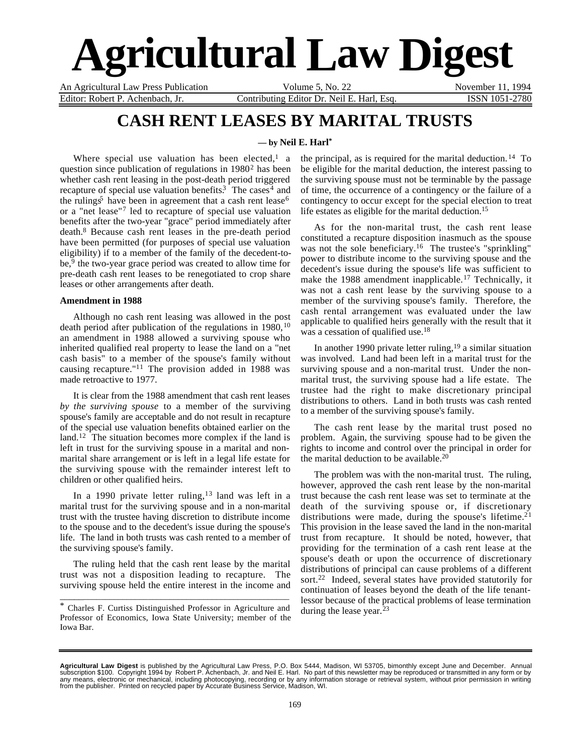# **Agricultural Law Digest**

An Agricultural Law Press Publication Volume 5, No. 22 November 11, 1994 Editor: Robert P. Achenbach, Jr. Contributing Editor Dr. Neil E. Harl, Esq. ISSN 1051-2780

## **CASH RENT LEASES BY MARITAL TRUSTS**

## **— by Neil E. Harl\***

Where special use valuation has been elected,<sup>1</sup> a question since publication of regulations in 1980<sup>2</sup> has been whether cash rent leasing in the post-death period triggered recapture of special use valuation benefits.<sup>3</sup> The cases<sup>4</sup> and the rulings<sup>5</sup> have been in agreement that a cash rent lease<sup>6</sup> or a "net lease"7 led to recapture of special use valuation benefits after the two-year "grace" period immediately after death.8 Because cash rent leases in the pre-death period have been permitted (for purposes of special use valuation eligibility) if to a member of the family of the decedent-tobe,<sup>9</sup> the two-year grace period was created to allow time for pre-death cash rent leases to be renegotiated to crop share leases or other arrangements after death.

## **Amendment in 1988**

Although no cash rent leasing was allowed in the post death period after publication of the regulations in 1980, <sup>10</sup> an amendment in 1988 allowed a surviving spouse who inherited qualified real property to lease the land on a "net cash basis" to a member of the spouse's family without causing recapture."11 The provision added in 1988 was made retroactive to 1977.

It is clear from the 1988 amendment that cash rent leases *by the surviving spouse* to a member of the surviving spouse's family are acceptable and do not result in recapture of the special use valuation benefits obtained earlier on the land.12 The situation becomes more complex if the land is left in trust for the surviving spouse in a marital and nonmarital share arrangement or is left in a legal life estate for the surviving spouse with the remainder interest left to children or other qualified heirs.

In a 1990 private letter ruling,  $13$  land was left in a marital trust for the surviving spouse and in a non-marital trust with the trustee having discretion to distribute income to the spouse and to the decedent's issue during the spouse's life. The land in both trusts was cash rented to a member of the surviving spouse's family.

The ruling held that the cash rent lease by the marital trust was not a disposition leading to recapture. The surviving spouse held the entire interest in the income and

\_\_\_\_\_\_\_\_\_\_\_\_\_\_\_\_\_\_\_\_\_\_\_\_\_\_\_\_\_\_\_\_\_\_\_\_\_\_\_\_\_\_\_\_\_\_\_\_\_\_\_\_\_

the principal, as is required for the marital deduction. 14 To be eligible for the marital deduction, the interest passing to the surviving spouse must not be terminable by the passage of time, the occurrence of a contingency or the failure of a contingency to occur except for the special election to treat life estates as eligible for the marital deduction.<sup>15</sup>

As for the non-marital trust, the cash rent lease constituted a recapture disposition inasmuch as the spouse was not the sole beneficiary.<sup>16</sup> The trustee's "sprinkling" power to distribute income to the surviving spouse and the decedent's issue during the spouse's life was sufficient to make the 1988 amendment inapplicable.<sup>17</sup> Technically, it was not a cash rent lease by the surviving spouse to a member of the surviving spouse's family. Therefore, the cash rental arrangement was evaluated under the law applicable to qualified heirs generally with the result that it was a cessation of qualified use.<sup>18</sup>

In another 1990 private letter ruling,  $19$  a similar situation was involved. Land had been left in a marital trust for the surviving spouse and a non-marital trust. Under the nonmarital trust, the surviving spouse had a life estate. The trustee had the right to make discretionary principal distributions to others. Land in both trusts was cash rented to a member of the surviving spouse's family.

The cash rent lease by the marital trust posed no problem. Again, the surviving spouse had to be given the rights to income and control over the principal in order for the marital deduction to be available.<sup>20</sup>

The problem was with the non-marital trust. The ruling, however, approved the cash rent lease by the non-marital trust because the cash rent lease was set to terminate at the death of the surviving spouse or, if discretionary distributions were made, during the spouse's lifetime.<sup>21</sup> This provision in the lease saved the land in the non-marital trust from recapture. It should be noted, however, that providing for the termination of a cash rent lease at the spouse's death or upon the occurrence of discretionary distributions of principal can cause problems of a different sort.<sup>22</sup> Indeed, several states have provided statutorily for continuation of leases beyond the death of the life tenantlessor because of the practical problems of lease termination during the lease year.<sup>23</sup>

<sup>\*</sup> Charles F. Curtiss Distinguished Professor in Agriculture and Professor of Economics, Iowa State University; member of the Iowa Bar.

**Agricultural Law Digest** is published by the Agricultural Law Press, P.O. Box 5444, Madison, WI 53705, bimonthly except June and December. Annual<br>subscription \$100. Copyright 1994 by Robert P. Achenbach, Jr. and Neil E. H any means, electronic or mechanical, including photocopying, recording or by any information storage or retrieval system, without prior permission in writing<br>from the publisher. Printed on recycled paper by Accurate Busin